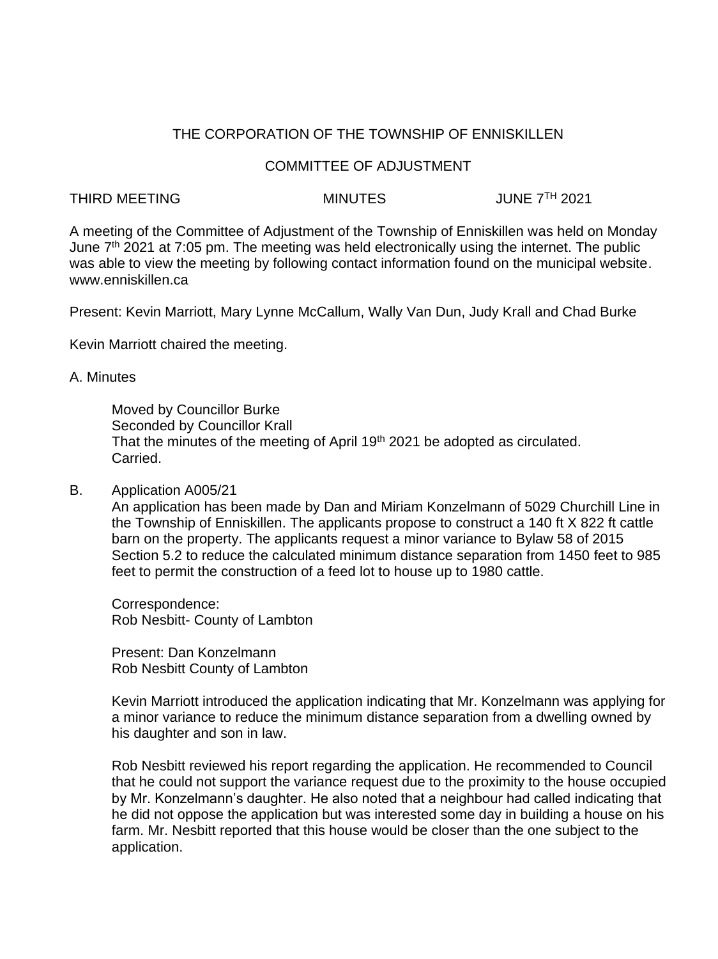# THE CORPORATION OF THE TOWNSHIP OF ENNISKILLEN

## COMMITTEE OF ADJUSTMENT

## THIRD MEETING **MINUTES** MINUTES JUNE 7<sup>TH</sup> 2021

A meeting of the Committee of Adjustment of the Township of Enniskillen was held on Monday June  $7<sup>th</sup>$  2021 at 7:05 pm. The meeting was held electronically using the internet. The public was able to view the meeting by following contact information found on the municipal website. www.enniskillen.ca

Present: Kevin Marriott, Mary Lynne McCallum, Wally Van Dun, Judy Krall and Chad Burke

Kevin Marriott chaired the meeting.

## A. Minutes

Moved by Councillor Burke Seconded by Councillor Krall That the minutes of the meeting of April 19<sup>th</sup> 2021 be adopted as circulated. Carried.

## B. Application A005/21

An application has been made by Dan and Miriam Konzelmann of 5029 Churchill Line in the Township of Enniskillen. The applicants propose to construct a 140 ft X 822 ft cattle barn on the property. The applicants request a minor variance to Bylaw 58 of 2015 Section 5.2 to reduce the calculated minimum distance separation from 1450 feet to 985 feet to permit the construction of a feed lot to house up to 1980 cattle.

Correspondence: Rob Nesbitt- County of Lambton

Present: Dan Konzelmann Rob Nesbitt County of Lambton

Kevin Marriott introduced the application indicating that Mr. Konzelmann was applying for a minor variance to reduce the minimum distance separation from a dwelling owned by his daughter and son in law.

Rob Nesbitt reviewed his report regarding the application. He recommended to Council that he could not support the variance request due to the proximity to the house occupied by Mr. Konzelmann's daughter. He also noted that a neighbour had called indicating that he did not oppose the application but was interested some day in building a house on his farm. Mr. Nesbitt reported that this house would be closer than the one subject to the application.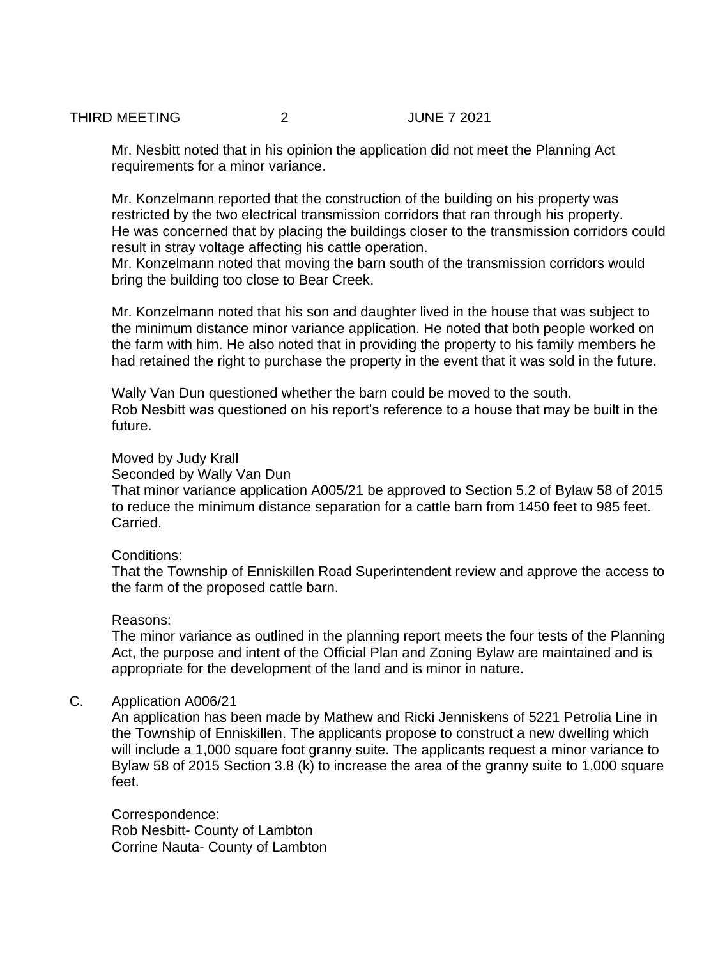#### THIRD MEETING 2 2 JUNE 7 2021

Mr. Nesbitt noted that in his opinion the application did not meet the Planning Act requirements for a minor variance.

Mr. Konzelmann reported that the construction of the building on his property was restricted by the two electrical transmission corridors that ran through his property. He was concerned that by placing the buildings closer to the transmission corridors could result in stray voltage affecting his cattle operation.

Mr. Konzelmann noted that moving the barn south of the transmission corridors would bring the building too close to Bear Creek.

Mr. Konzelmann noted that his son and daughter lived in the house that was subject to the minimum distance minor variance application. He noted that both people worked on the farm with him. He also noted that in providing the property to his family members he had retained the right to purchase the property in the event that it was sold in the future.

Wally Van Dun questioned whether the barn could be moved to the south. Rob Nesbitt was questioned on his report's reference to a house that may be built in the future.

#### Moved by Judy Krall

Seconded by Wally Van Dun

That minor variance application A005/21 be approved to Section 5.2 of Bylaw 58 of 2015 to reduce the minimum distance separation for a cattle barn from 1450 feet to 985 feet. Carried.

## Conditions:

That the Township of Enniskillen Road Superintendent review and approve the access to the farm of the proposed cattle barn.

## Reasons:

The minor variance as outlined in the planning report meets the four tests of the Planning Act, the purpose and intent of the Official Plan and Zoning Bylaw are maintained and is appropriate for the development of the land and is minor in nature.

#### C. Application A006/21

An application has been made by Mathew and Ricki Jenniskens of 5221 Petrolia Line in the Township of Enniskillen. The applicants propose to construct a new dwelling which will include a 1,000 square foot granny suite. The applicants request a minor variance to Bylaw 58 of 2015 Section 3.8 (k) to increase the area of the granny suite to 1,000 square feet.

Correspondence: Rob Nesbitt- County of Lambton Corrine Nauta- County of Lambton